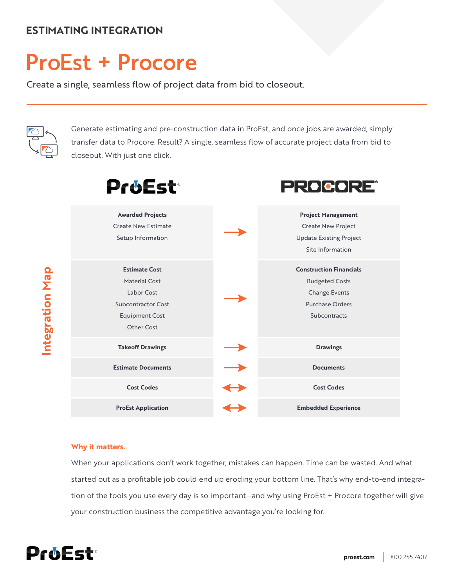# **ESTIMATING INTEGRATION**

# ProEst **+** Procore

Create a single, seamless flow of project data from bid to closeout.



**Integration Map**

Integration Map

Generate estimating and pre-construction data in ProEst, and once jobs are awarded, simply transfer data to Procore. Result? A single, seamless flow of accurate project data from bid to closeout. With just one click.

| <b>ProEst</b>                                                                                                                  | PROCORE®                                                                                                           |
|--------------------------------------------------------------------------------------------------------------------------------|--------------------------------------------------------------------------------------------------------------------|
| <b>Awarded Projects</b><br><b>Create New Estimate</b><br>Setup Information                                                     | <b>Project Management</b><br><b>Create New Project</b><br><b>Update Existing Project</b><br>Site Information       |
| <b>Estimate Cost</b><br>Material Cost<br>Labor Cost<br><b>Subcontractor Cost</b><br><b>Equipment Cost</b><br><b>Other Cost</b> | <b>Construction Financials</b><br><b>Budgeted Costs</b><br><b>Change Events</b><br>Purchase Orders<br>Subcontracts |
| <b>Takeoff Drawings</b>                                                                                                        | <b>Drawings</b>                                                                                                    |
| <b>Estimate Documents</b>                                                                                                      | <b>Documents</b>                                                                                                   |
| <b>Cost Codes</b>                                                                                                              | <b>Cost Codes</b>                                                                                                  |
| <b>ProEst Application</b>                                                                                                      | <b>Embedded Experience</b>                                                                                         |

#### **Why it matters.**

When your applications don't work together, mistakes can happen. Time can be wasted. And what started out as a profitable job could end up eroding your bottom line. That's why end-to-end integration of the tools you use every day is so important—and why using ProEst + Procore together will give your construction business the competitive advantage you're looking for.